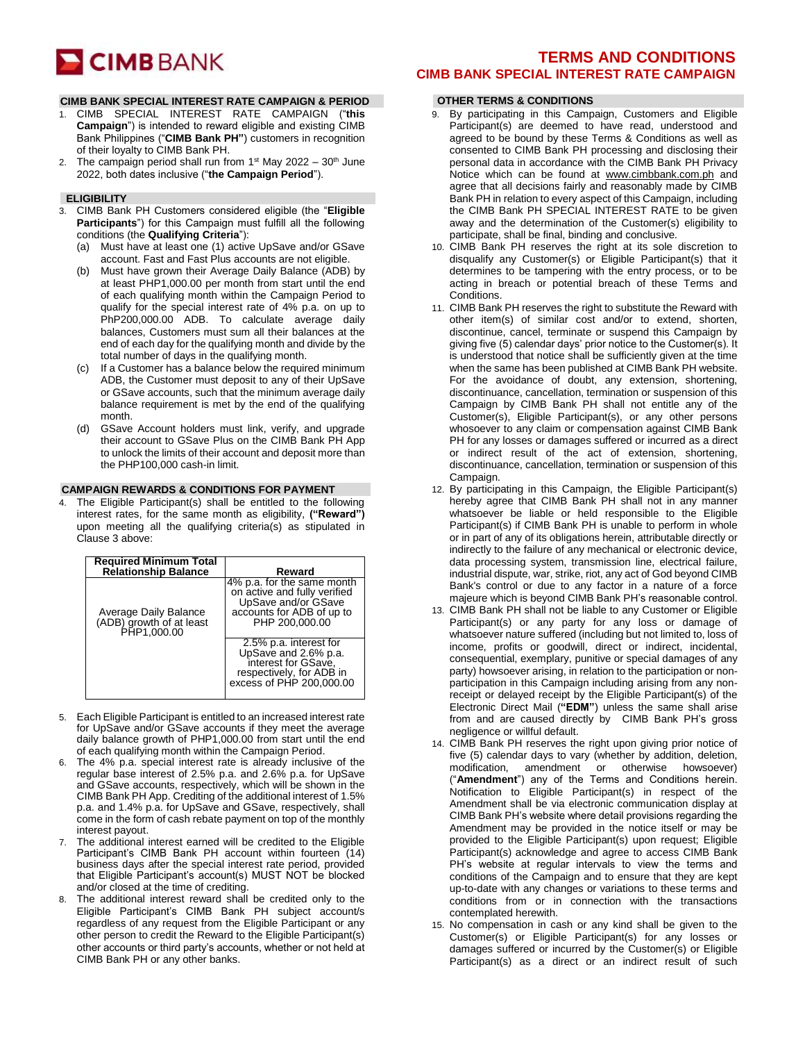# **CIMB** BANK

#### **CIMB BANK SPECIAL INTEREST RATE CAMPAIGN & PERIOD**

- 1. CIMB SPECIAL INTEREST RATE CAMPAIGN ("**this Campaign**") is intended to reward eligible and existing CIMB Bank Philippines ("**CIMB Bank PH"**) customers in recognition of their loyalty to CIMB Bank PH.
- 2. The campaign period shall run from  $1<sup>st</sup>$  May 2022 30<sup>th</sup> June 2022, both dates inclusive ("**the Campaign Period**").

#### **ELIGIBILITY**

- 3. CIMB Bank PH Customers considered eligible (the "**Eligible Participants**") for this Campaign must fulfill all the following conditions (the **Qualifying Criteria**"):
	- (a) Must have at least one (1) active UpSave and/or GSave account. Fast and Fast Plus accounts are not eligible.
	- (b) Must have grown their Average Daily Balance (ADB) by at least PHP1,000.00 per month from start until the end of each qualifying month within the Campaign Period to qualify for the special interest rate of 4% p.a. on up to PhP200,000.00 ADB. To calculate average daily balances, Customers must sum all their balances at the end of each day for the qualifying month and divide by the total number of days in the qualifying month.
	- (c) If a Customer has a balance below the required minimum ADB, the Customer must deposit to any of their UpSave or GSave accounts, such that the minimum average daily balance requirement is met by the end of the qualifying month.
	- (d) GSave Account holders must link, verify, and upgrade their account to GSave Plus on the CIMB Bank PH App to unlock the limits of their account and deposit more than the PHP100,000 cash-in limit.

#### **CAMPAIGN REWARDS & CONDITIONS FOR PAYMENT**

4. The Eligible Participant(s) shall be entitled to the following interest rates, for the same month as eligibility, **("Reward")**  upon meeting all the qualifying criteria(s) as stipulated in Clause 3 above:

| <b>Required Minimum Total<br/>Relationship Balance</b>           | Reward                                                                                                                           |
|------------------------------------------------------------------|----------------------------------------------------------------------------------------------------------------------------------|
| Average Daily Balance<br>(ADB) growth of at least<br>PHP1,000.00 | 4% p.a. for the same month<br>on active and fully verified<br>UpSave and/or GSave<br>accounts for ADB of up to<br>PHP 200,000.00 |
|                                                                  | 2.5% p.a. interest for<br>UpSave and 2.6% p.a.<br>interest for GSave,<br>respectively, for ADB in<br>excess of PHP 200,000.00    |

- 5. Each Eligible Participant is entitled to an increased interest rate for UpSave and/or GSave accounts if they meet the average daily balance growth of PHP1,000.00 from start until the end of each qualifying month within the Campaign Period.
- 6. The 4% p.a. special interest rate is already inclusive of the regular base interest of 2.5% p.a. and 2.6% p.a. for UpSave and GSave accounts, respectively, which will be shown in the CIMB Bank PH App. Crediting of the additional interest of 1.5% p.a. and 1.4% p.a. for UpSave and GSave, respectively, shall come in the form of cash rebate payment on top of the monthly interest payout.
- 7. The additional interest earned will be credited to the Eligible Participant's CIMB Bank PH account within fourteen (14) business days after the special interest rate period, provided that Eligible Participant's account(s) MUST NOT be blocked and/or closed at the time of crediting.
- The additional interest reward shall be credited only to the Eligible Participant's CIMB Bank PH subject account/s regardless of any request from the Eligible Participant or any other person to credit the Reward to the Eligible Participant(s) other accounts or third party's accounts, whether or not held at CIMB Bank PH or any other banks.

## **TERMS AND CONDITIONS CIMB BANK SPECIAL INTEREST RATE CAMPAIGN**

### **OTHER TERMS & CONDITIONS**

- 9. By participating in this Campaign, Customers and Eligible Participant(s) are deemed to have read, understood and agreed to be bound by these Terms & Conditions as well as consented to CIMB Bank PH processing and disclosing their personal data in accordance with the CIMB Bank PH Privacy Notice which can be found at [www.cimbbank.com.ph](http://www.cimbbank.com.ph/) and agree that all decisions fairly and reasonably made by CIMB Bank PH in relation to every aspect of this Campaign, including the CIMB Bank PH SPECIAL INTEREST RATE to be given away and the determination of the Customer(s) eligibility to participate, shall be final, binding and conclusive.
- 10. CIMB Bank PH reserves the right at its sole discretion to disqualify any Customer(s) or Eligible Participant(s) that it determines to be tampering with the entry process, or to be acting in breach or potential breach of these Terms and Conditions.
- 11. CIMB Bank PH reserves the right to substitute the Reward with other item(s) of similar cost and/or to extend, shorten, discontinue, cancel, terminate or suspend this Campaign by giving five (5) calendar days' prior notice to the Customer(s). It is understood that notice shall be sufficiently given at the time when the same has been published at CIMB Bank PH website. For the avoidance of doubt, any extension, shortening, discontinuance, cancellation, termination or suspension of this Campaign by CIMB Bank PH shall not entitle any of the Customer(s), Eligible Participant(s), or any other persons whosoever to any claim or compensation against CIMB Bank PH for any losses or damages suffered or incurred as a direct or indirect result of the act of extension, shortening, discontinuance, cancellation, termination or suspension of this Campaign.
- 12. By participating in this Campaign, the Eligible Participant(s) hereby agree that CIMB Bank PH shall not in any manner whatsoever be liable or held responsible to the Eligible Participant(s) if CIMB Bank PH is unable to perform in whole or in part of any of its obligations herein, attributable directly or indirectly to the failure of any mechanical or electronic device, data processing system, transmission line, electrical failure, industrial dispute, war, strike, riot, any act of God beyond CIMB Bank's control or due to any factor in a nature of a force majeure which is beyond CIMB Bank PH's reasonable control.
- 13. CIMB Bank PH shall not be liable to any Customer or Eligible Participant(s) or any party for any loss or damage of whatsoever nature suffered (including but not limited to, loss of income, profits or goodwill, direct or indirect, incidental, consequential, exemplary, punitive or special damages of any party) howsoever arising, in relation to the participation or nonparticipation in this Campaign including arising from any nonreceipt or delayed receipt by the Eligible Participant(s) of the Electronic Direct Mail (**"EDM"**) unless the same shall arise from and are caused directly by CIMB Bank PH's gross negligence or willful default.
- 14. CIMB Bank PH reserves the right upon giving prior notice of five (5) calendar days to vary (whether by addition, deletion, modification, amendment or otherwise howsoever) ("**Amendment**") any of the Terms and Conditions herein. Notification to Eligible Participant(s) in respect of the Amendment shall be via electronic communication display at CIMB Bank PH's website where detail provisions regarding the Amendment may be provided in the notice itself or may be provided to the Eligible Participant(s) upon request; Eligible Participant(s) acknowledge and agree to access CIMB Bank PH's website at regular intervals to view the terms and conditions of the Campaign and to ensure that they are kept up-to-date with any changes or variations to these terms and conditions from or in connection with the transactions contemplated herewith.
- 15. No compensation in cash or any kind shall be given to the Customer(s) or Eligible Participant(s) for any losses or damages suffered or incurred by the Customer(s) or Eligible Participant(s) as a direct or an indirect result of such